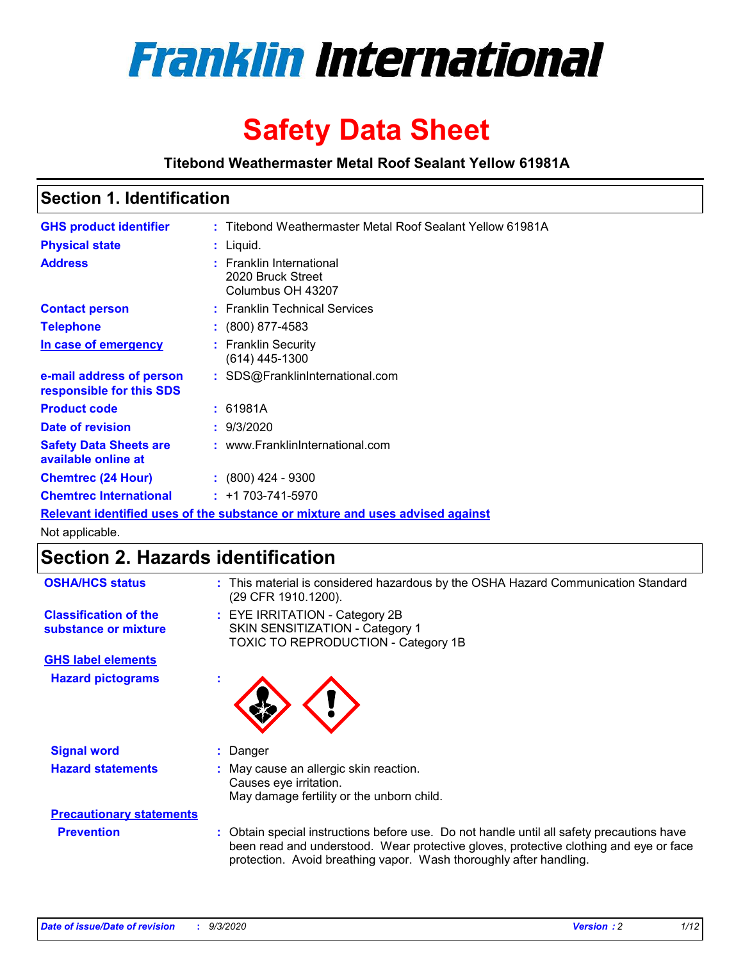

# **Safety Data Sheet**

**Titebond Weathermaster Metal Roof Sealant Yellow 61981A**

### **Section 1. Identification**

| <b>GHS product identifier</b>                                                 |  | : Titebond Weathermaster Metal Roof Sealant Yellow 61981A               |  |  |
|-------------------------------------------------------------------------------|--|-------------------------------------------------------------------------|--|--|
| <b>Physical state</b>                                                         |  | $:$ Liquid.                                                             |  |  |
| <b>Address</b>                                                                |  | <b>Franklin International</b><br>2020 Bruck Street<br>Columbus OH 43207 |  |  |
| <b>Contact person</b>                                                         |  | : Franklin Technical Services                                           |  |  |
| <b>Telephone</b>                                                              |  | $\div$ (800) 877-4583                                                   |  |  |
| In case of emergency                                                          |  | : Franklin Security<br>(614) 445-1300                                   |  |  |
| e-mail address of person<br>responsible for this SDS                          |  | : SDS@FranklinInternational.com                                         |  |  |
| <b>Product code</b>                                                           |  | : 61981A                                                                |  |  |
| Date of revision                                                              |  | : 9/3/2020                                                              |  |  |
| <b>Safety Data Sheets are</b><br>available online at                          |  | : www.FranklinInternational.com                                         |  |  |
| <b>Chemtrec (24 Hour)</b>                                                     |  | $\cdot$ (800) 424 - 9300                                                |  |  |
| <b>Chemtrec International</b>                                                 |  | $: +1703 - 741 - 5970$                                                  |  |  |
| Relevant identified uses of the substance or mixture and uses advised against |  |                                                                         |  |  |

Not applicable.

## **Section 2. Hazards identification**

| <b>OSHA/HCS status</b>                               |    | : This material is considered hazardous by the OSHA Hazard Communication Standard<br>(29 CFR 1910.1200).                                                                                                                                                 |
|------------------------------------------------------|----|----------------------------------------------------------------------------------------------------------------------------------------------------------------------------------------------------------------------------------------------------------|
| <b>Classification of the</b><br>substance or mixture |    | : EYE IRRITATION - Category 2B<br>SKIN SENSITIZATION - Category 1<br>TOXIC TO REPRODUCTION - Category 1B                                                                                                                                                 |
| <b>GHS label elements</b>                            |    |                                                                                                                                                                                                                                                          |
| <b>Hazard pictograms</b>                             | ٠  |                                                                                                                                                                                                                                                          |
| <b>Signal word</b>                                   | ÷. | Danger                                                                                                                                                                                                                                                   |
| <b>Hazard statements</b>                             |    | May cause an allergic skin reaction.<br>Causes eye irritation.<br>May damage fertility or the unborn child.                                                                                                                                              |
| <b>Precautionary statements</b>                      |    |                                                                                                                                                                                                                                                          |
| <b>Prevention</b>                                    |    | : Obtain special instructions before use. Do not handle until all safety precautions have<br>been read and understood. Wear protective gloves, protective clothing and eye or face<br>protection. Avoid breathing vapor. Wash thoroughly after handling. |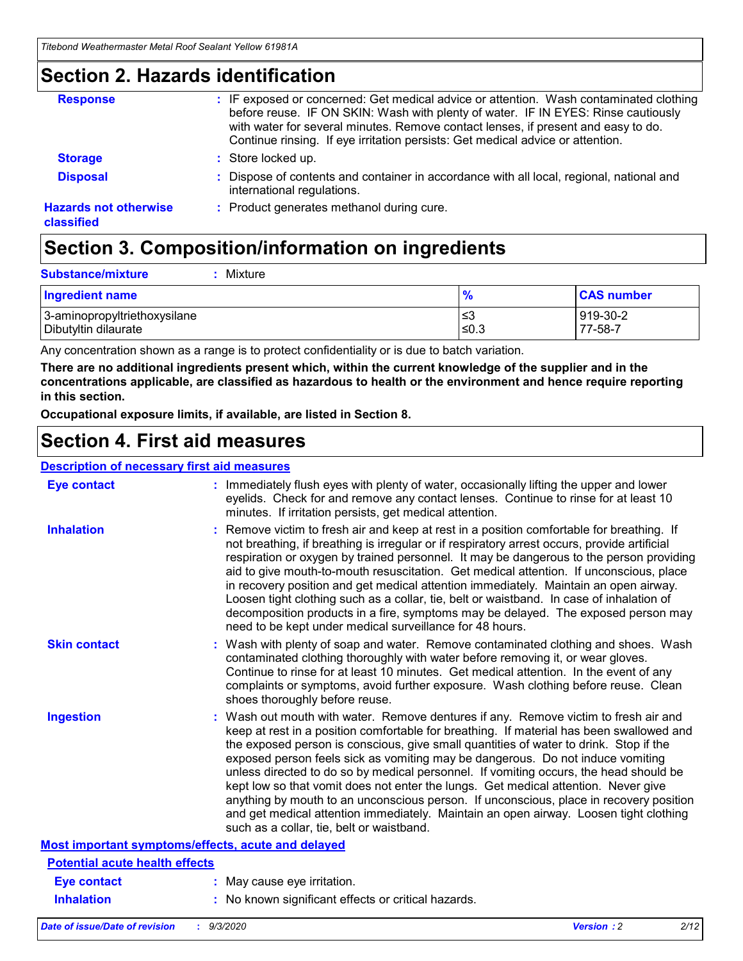### **Section 2. Hazards identification**

| <b>Response</b>                            | : IF exposed or concerned: Get medical advice or attention. Wash contaminated clothing<br>before reuse. IF ON SKIN: Wash with plenty of water. IF IN EYES: Rinse cautiously<br>with water for several minutes. Remove contact lenses, if present and easy to do.<br>Continue rinsing. If eye irritation persists: Get medical advice or attention. |
|--------------------------------------------|----------------------------------------------------------------------------------------------------------------------------------------------------------------------------------------------------------------------------------------------------------------------------------------------------------------------------------------------------|
| <b>Storage</b>                             | : Store locked up.                                                                                                                                                                                                                                                                                                                                 |
| <b>Disposal</b>                            | : Dispose of contents and container in accordance with all local, regional, national and<br>international regulations.                                                                                                                                                                                                                             |
| <b>Hazards not otherwise</b><br>classified | : Product generates methanol during cure.                                                                                                                                                                                                                                                                                                          |

# **Section 3. Composition/information on ingredients**

| <b>Substance/mixture</b> | : Mixture |
|--------------------------|-----------|
|                          |           |

| <b>Ingredient name</b>       | $\mathbf{0}$<br>70 | <b>CAS number</b> |
|------------------------------|--------------------|-------------------|
| 3-aminopropyltriethoxysilane | צ≥                 | 919-30-2          |
| Dibutyltin dilaurate         | ∣≤0.3              | 77-58-7           |

Any concentration shown as a range is to protect confidentiality or is due to batch variation.

**There are no additional ingredients present which, within the current knowledge of the supplier and in the concentrations applicable, are classified as hazardous to health or the environment and hence require reporting in this section.**

**Occupational exposure limits, if available, are listed in Section 8.**

### **Section 4. First aid measures**

| <b>Description of necessary first aid measures</b> |                                                                                                                                                                                                                                                                                                                                                                                                                                                                                                                                                                                                                                                                                                                                                                           |
|----------------------------------------------------|---------------------------------------------------------------------------------------------------------------------------------------------------------------------------------------------------------------------------------------------------------------------------------------------------------------------------------------------------------------------------------------------------------------------------------------------------------------------------------------------------------------------------------------------------------------------------------------------------------------------------------------------------------------------------------------------------------------------------------------------------------------------------|
| <b>Eye contact</b>                                 | : Immediately flush eyes with plenty of water, occasionally lifting the upper and lower<br>eyelids. Check for and remove any contact lenses. Continue to rinse for at least 10<br>minutes. If irritation persists, get medical attention.                                                                                                                                                                                                                                                                                                                                                                                                                                                                                                                                 |
| <b>Inhalation</b>                                  | : Remove victim to fresh air and keep at rest in a position comfortable for breathing. If<br>not breathing, if breathing is irregular or if respiratory arrest occurs, provide artificial<br>respiration or oxygen by trained personnel. It may be dangerous to the person providing<br>aid to give mouth-to-mouth resuscitation. Get medical attention. If unconscious, place<br>in recovery position and get medical attention immediately. Maintain an open airway.<br>Loosen tight clothing such as a collar, tie, belt or waistband. In case of inhalation of<br>decomposition products in a fire, symptoms may be delayed. The exposed person may<br>need to be kept under medical surveillance for 48 hours.                                                       |
| <b>Skin contact</b>                                | : Wash with plenty of soap and water. Remove contaminated clothing and shoes. Wash<br>contaminated clothing thoroughly with water before removing it, or wear gloves.<br>Continue to rinse for at least 10 minutes. Get medical attention. In the event of any<br>complaints or symptoms, avoid further exposure. Wash clothing before reuse. Clean<br>shoes thoroughly before reuse.                                                                                                                                                                                                                                                                                                                                                                                     |
| <b>Ingestion</b>                                   | : Wash out mouth with water. Remove dentures if any. Remove victim to fresh air and<br>keep at rest in a position comfortable for breathing. If material has been swallowed and<br>the exposed person is conscious, give small quantities of water to drink. Stop if the<br>exposed person feels sick as vomiting may be dangerous. Do not induce vomiting<br>unless directed to do so by medical personnel. If vomiting occurs, the head should be<br>kept low so that vomit does not enter the lungs. Get medical attention. Never give<br>anything by mouth to an unconscious person. If unconscious, place in recovery position<br>and get medical attention immediately. Maintain an open airway. Loosen tight clothing<br>such as a collar, tie, belt or waistband. |
| Most important symptoms/effects, acute and delayed |                                                                                                                                                                                                                                                                                                                                                                                                                                                                                                                                                                                                                                                                                                                                                                           |
| <b>Potential acute health effects</b>              |                                                                                                                                                                                                                                                                                                                                                                                                                                                                                                                                                                                                                                                                                                                                                                           |
| <b>Eye contact</b>                                 | : May cause eye irritation.                                                                                                                                                                                                                                                                                                                                                                                                                                                                                                                                                                                                                                                                                                                                               |
| <b>Inhalation</b>                                  | : No known significant effects or critical hazards.                                                                                                                                                                                                                                                                                                                                                                                                                                                                                                                                                                                                                                                                                                                       |
|                                                    |                                                                                                                                                                                                                                                                                                                                                                                                                                                                                                                                                                                                                                                                                                                                                                           |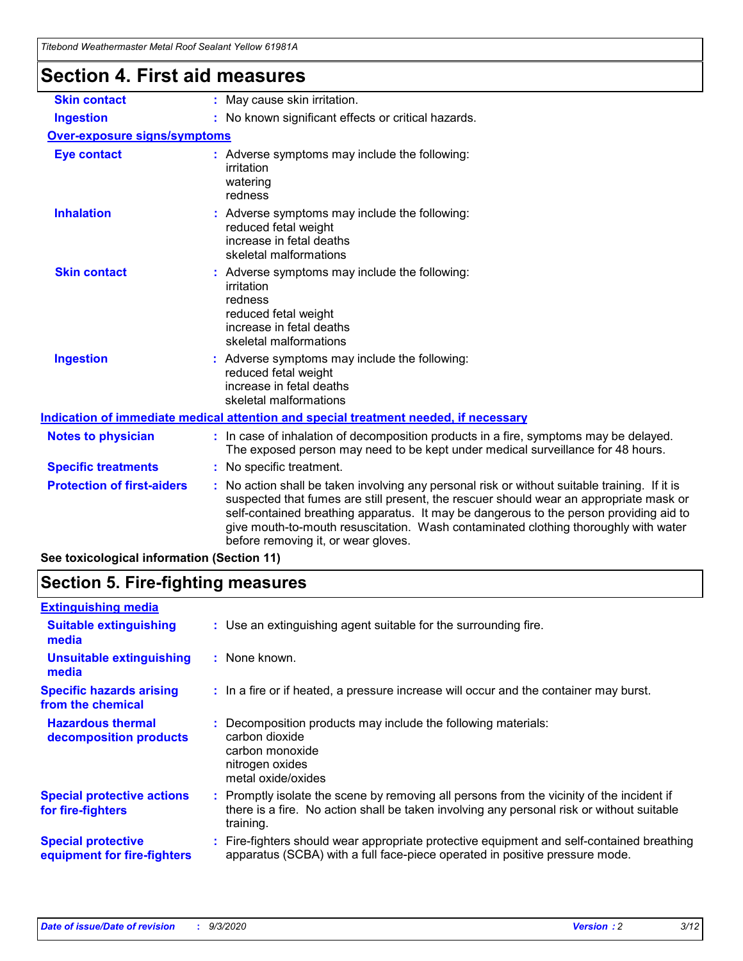| Thebond Weathermaster Metal Roof Sealant Yellow 61981A |                                                                                                                                                                                                                                                                                                                                                                                                               |
|--------------------------------------------------------|---------------------------------------------------------------------------------------------------------------------------------------------------------------------------------------------------------------------------------------------------------------------------------------------------------------------------------------------------------------------------------------------------------------|
| <b>Section 4. First aid measures</b>                   |                                                                                                                                                                                                                                                                                                                                                                                                               |
| <b>Skin contact</b>                                    | : May cause skin irritation.                                                                                                                                                                                                                                                                                                                                                                                  |
| <b>Ingestion</b>                                       | : No known significant effects or critical hazards.                                                                                                                                                                                                                                                                                                                                                           |
| <b>Over-exposure signs/symptoms</b>                    |                                                                                                                                                                                                                                                                                                                                                                                                               |
| <b>Eye contact</b>                                     | : Adverse symptoms may include the following:<br>irritation<br>watering<br>redness                                                                                                                                                                                                                                                                                                                            |
| <b>Inhalation</b>                                      | : Adverse symptoms may include the following:<br>reduced fetal weight<br>increase in fetal deaths<br>skeletal malformations                                                                                                                                                                                                                                                                                   |
| <b>Skin contact</b>                                    | Adverse symptoms may include the following:<br>irritation<br>redness<br>reduced fetal weight<br>increase in fetal deaths<br>skeletal malformations                                                                                                                                                                                                                                                            |
| <b>Ingestion</b>                                       | Adverse symptoms may include the following:<br>reduced fetal weight<br>increase in fetal deaths<br>skeletal malformations                                                                                                                                                                                                                                                                                     |
|                                                        | Indication of immediate medical attention and special treatment needed, if necessary                                                                                                                                                                                                                                                                                                                          |
| <b>Notes to physician</b>                              | : In case of inhalation of decomposition products in a fire, symptoms may be delayed.<br>The exposed person may need to be kept under medical surveillance for 48 hours.                                                                                                                                                                                                                                      |
| <b>Specific treatments</b>                             | No specific treatment.                                                                                                                                                                                                                                                                                                                                                                                        |
| <b>Protection of first-aiders</b>                      | No action shall be taken involving any personal risk or without suitable training. If it is<br>suspected that fumes are still present, the rescuer should wear an appropriate mask or<br>self-contained breathing apparatus. It may be dangerous to the person providing aid to<br>give mouth-to-mouth resuscitation. Wash contaminated clothing thoroughly with water<br>before removing it, or wear gloves. |

**See toxicological information (Section 11)**

### **Section 5. Fire-fighting measures**

| <b>Extinguishing media</b>                               |                                                                                                                                                                                                     |
|----------------------------------------------------------|-----------------------------------------------------------------------------------------------------------------------------------------------------------------------------------------------------|
| <b>Suitable extinguishing</b><br>media                   | : Use an extinguishing agent suitable for the surrounding fire.                                                                                                                                     |
| <b>Unsuitable extinguishing</b><br>media                 | : None known.                                                                                                                                                                                       |
| <b>Specific hazards arising</b><br>from the chemical     | : In a fire or if heated, a pressure increase will occur and the container may burst.                                                                                                               |
| <b>Hazardous thermal</b><br>decomposition products       | Decomposition products may include the following materials:<br>carbon dioxide<br>carbon monoxide<br>nitrogen oxides<br>metal oxide/oxides                                                           |
| <b>Special protective actions</b><br>for fire-fighters   | : Promptly isolate the scene by removing all persons from the vicinity of the incident if<br>there is a fire. No action shall be taken involving any personal risk or without suitable<br>training. |
| <b>Special protective</b><br>equipment for fire-fighters | Fire-fighters should wear appropriate protective equipment and self-contained breathing<br>apparatus (SCBA) with a full face-piece operated in positive pressure mode.                              |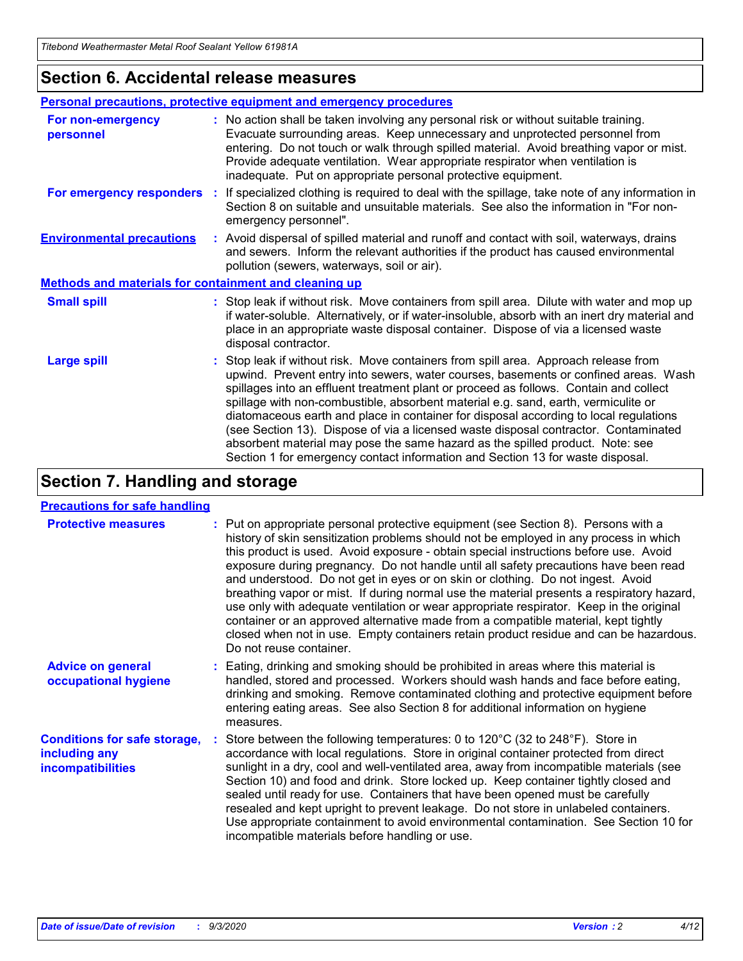### **Section 6. Accidental release measures**

|                                                       | <b>Personal precautions, protective equipment and emergency procedures</b>                                                                                                                                                                                                                                                                                                                                                                                                                                                                                                                                                                                                                                   |  |  |  |
|-------------------------------------------------------|--------------------------------------------------------------------------------------------------------------------------------------------------------------------------------------------------------------------------------------------------------------------------------------------------------------------------------------------------------------------------------------------------------------------------------------------------------------------------------------------------------------------------------------------------------------------------------------------------------------------------------------------------------------------------------------------------------------|--|--|--|
| For non-emergency<br>personnel                        | : No action shall be taken involving any personal risk or without suitable training.<br>Evacuate surrounding areas. Keep unnecessary and unprotected personnel from<br>entering. Do not touch or walk through spilled material. Avoid breathing vapor or mist.<br>Provide adequate ventilation. Wear appropriate respirator when ventilation is<br>inadequate. Put on appropriate personal protective equipment.                                                                                                                                                                                                                                                                                             |  |  |  |
| For emergency responders                              | : If specialized clothing is required to deal with the spillage, take note of any information in<br>Section 8 on suitable and unsuitable materials. See also the information in "For non-<br>emergency personnel".                                                                                                                                                                                                                                                                                                                                                                                                                                                                                           |  |  |  |
| <b>Environmental precautions</b>                      | : Avoid dispersal of spilled material and runoff and contact with soil, waterways, drains<br>and sewers. Inform the relevant authorities if the product has caused environmental<br>pollution (sewers, waterways, soil or air).                                                                                                                                                                                                                                                                                                                                                                                                                                                                              |  |  |  |
| Methods and materials for containment and cleaning up |                                                                                                                                                                                                                                                                                                                                                                                                                                                                                                                                                                                                                                                                                                              |  |  |  |
| <b>Small spill</b>                                    | : Stop leak if without risk. Move containers from spill area. Dilute with water and mop up<br>if water-soluble. Alternatively, or if water-insoluble, absorb with an inert dry material and<br>place in an appropriate waste disposal container. Dispose of via a licensed waste<br>disposal contractor.                                                                                                                                                                                                                                                                                                                                                                                                     |  |  |  |
| <b>Large spill</b>                                    | : Stop leak if without risk. Move containers from spill area. Approach release from<br>upwind. Prevent entry into sewers, water courses, basements or confined areas. Wash<br>spillages into an effluent treatment plant or proceed as follows. Contain and collect<br>spillage with non-combustible, absorbent material e.g. sand, earth, vermiculite or<br>diatomaceous earth and place in container for disposal according to local regulations<br>(see Section 13). Dispose of via a licensed waste disposal contractor. Contaminated<br>absorbent material may pose the same hazard as the spilled product. Note: see<br>Section 1 for emergency contact information and Section 13 for waste disposal. |  |  |  |

### **Section 7. Handling and storage**

#### **Precautions for safe handling**

| <b>Protective measures</b>                                                       | : Put on appropriate personal protective equipment (see Section 8). Persons with a<br>history of skin sensitization problems should not be employed in any process in which<br>this product is used. Avoid exposure - obtain special instructions before use. Avoid<br>exposure during pregnancy. Do not handle until all safety precautions have been read<br>and understood. Do not get in eyes or on skin or clothing. Do not ingest. Avoid<br>breathing vapor or mist. If during normal use the material presents a respiratory hazard,<br>use only with adequate ventilation or wear appropriate respirator. Keep in the original<br>container or an approved alternative made from a compatible material, kept tightly<br>closed when not in use. Empty containers retain product residue and can be hazardous.<br>Do not reuse container. |
|----------------------------------------------------------------------------------|--------------------------------------------------------------------------------------------------------------------------------------------------------------------------------------------------------------------------------------------------------------------------------------------------------------------------------------------------------------------------------------------------------------------------------------------------------------------------------------------------------------------------------------------------------------------------------------------------------------------------------------------------------------------------------------------------------------------------------------------------------------------------------------------------------------------------------------------------|
| <b>Advice on general</b><br>occupational hygiene                                 | : Eating, drinking and smoking should be prohibited in areas where this material is<br>handled, stored and processed. Workers should wash hands and face before eating,<br>drinking and smoking. Remove contaminated clothing and protective equipment before<br>entering eating areas. See also Section 8 for additional information on hygiene<br>measures.                                                                                                                                                                                                                                                                                                                                                                                                                                                                                    |
| <b>Conditions for safe storage,</b><br>including any<br><i>incompatibilities</i> | Store between the following temperatures: 0 to 120°C (32 to 248°F). Store in<br>accordance with local regulations. Store in original container protected from direct<br>sunlight in a dry, cool and well-ventilated area, away from incompatible materials (see<br>Section 10) and food and drink. Store locked up. Keep container tightly closed and<br>sealed until ready for use. Containers that have been opened must be carefully<br>resealed and kept upright to prevent leakage. Do not store in unlabeled containers.<br>Use appropriate containment to avoid environmental contamination. See Section 10 for<br>incompatible materials before handling or use.                                                                                                                                                                         |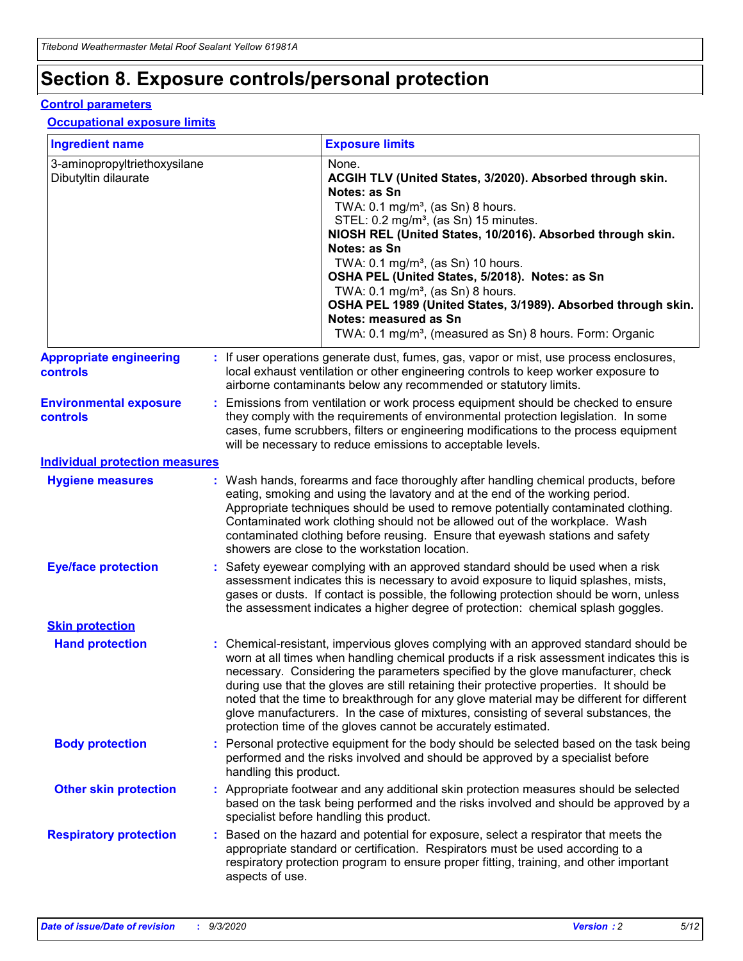# **Section 8. Exposure controls/personal protection**

#### **Control parameters**

#### **Occupational exposure limits**

| <b>Ingredient name</b>                               |    |                        | <b>Exposure limits</b>                                                                                                                                                                                                                                                                                                                                                                                                                                                                                                                                                                                                 |
|------------------------------------------------------|----|------------------------|------------------------------------------------------------------------------------------------------------------------------------------------------------------------------------------------------------------------------------------------------------------------------------------------------------------------------------------------------------------------------------------------------------------------------------------------------------------------------------------------------------------------------------------------------------------------------------------------------------------------|
| 3-aminopropyltriethoxysilane<br>Dibutyltin dilaurate |    |                        | None.<br>ACGIH TLV (United States, 3/2020). Absorbed through skin.<br>Notes: as Sn<br>TWA: $0.1 \text{ mg/m}^3$ , (as Sn) 8 hours.<br>STEL: 0.2 mg/m <sup>3</sup> , (as Sn) 15 minutes.<br>NIOSH REL (United States, 10/2016). Absorbed through skin.<br>Notes: as Sn<br>TWA: 0.1 mg/m <sup>3</sup> , (as Sn) 10 hours.<br>OSHA PEL (United States, 5/2018). Notes: as Sn<br>TWA: $0.1 \text{ mg/m}^3$ , (as Sn) 8 hours.<br>OSHA PEL 1989 (United States, 3/1989). Absorbed through skin.<br>Notes: measured as Sn<br>TWA: 0.1 mg/m <sup>3</sup> , (measured as Sn) 8 hours. Form: Organic                            |
| <b>Appropriate engineering</b><br>controls           |    |                        | : If user operations generate dust, fumes, gas, vapor or mist, use process enclosures,<br>local exhaust ventilation or other engineering controls to keep worker exposure to<br>airborne contaminants below any recommended or statutory limits.                                                                                                                                                                                                                                                                                                                                                                       |
| <b>Environmental exposure</b><br>controls            |    |                        | Emissions from ventilation or work process equipment should be checked to ensure<br>they comply with the requirements of environmental protection legislation. In some<br>cases, fume scrubbers, filters or engineering modifications to the process equipment<br>will be necessary to reduce emissions to acceptable levels.                                                                                                                                                                                                                                                                                          |
| <b>Individual protection measures</b>                |    |                        |                                                                                                                                                                                                                                                                                                                                                                                                                                                                                                                                                                                                                        |
| <b>Hygiene measures</b>                              |    |                        | : Wash hands, forearms and face thoroughly after handling chemical products, before<br>eating, smoking and using the lavatory and at the end of the working period.<br>Appropriate techniques should be used to remove potentially contaminated clothing.<br>Contaminated work clothing should not be allowed out of the workplace. Wash<br>contaminated clothing before reusing. Ensure that eyewash stations and safety<br>showers are close to the workstation location.                                                                                                                                            |
| <b>Eye/face protection</b>                           |    |                        | : Safety eyewear complying with an approved standard should be used when a risk<br>assessment indicates this is necessary to avoid exposure to liquid splashes, mists,<br>gases or dusts. If contact is possible, the following protection should be worn, unless<br>the assessment indicates a higher degree of protection: chemical splash goggles.                                                                                                                                                                                                                                                                  |
| <b>Skin protection</b>                               |    |                        |                                                                                                                                                                                                                                                                                                                                                                                                                                                                                                                                                                                                                        |
| <b>Hand protection</b>                               |    |                        | : Chemical-resistant, impervious gloves complying with an approved standard should be<br>worn at all times when handling chemical products if a risk assessment indicates this is<br>necessary. Considering the parameters specified by the glove manufacturer, check<br>during use that the gloves are still retaining their protective properties. It should be<br>noted that the time to breakthrough for any glove material may be different for different<br>glove manufacturers. In the case of mixtures, consisting of several substances, the<br>protection time of the gloves cannot be accurately estimated. |
| <b>Body protection</b>                               |    | handling this product. | Personal protective equipment for the body should be selected based on the task being<br>performed and the risks involved and should be approved by a specialist before                                                                                                                                                                                                                                                                                                                                                                                                                                                |
| <b>Other skin protection</b>                         |    |                        | : Appropriate footwear and any additional skin protection measures should be selected<br>based on the task being performed and the risks involved and should be approved by a<br>specialist before handling this product.                                                                                                                                                                                                                                                                                                                                                                                              |
| <b>Respiratory protection</b>                        | ÷. | aspects of use.        | Based on the hazard and potential for exposure, select a respirator that meets the<br>appropriate standard or certification. Respirators must be used according to a<br>respiratory protection program to ensure proper fitting, training, and other important                                                                                                                                                                                                                                                                                                                                                         |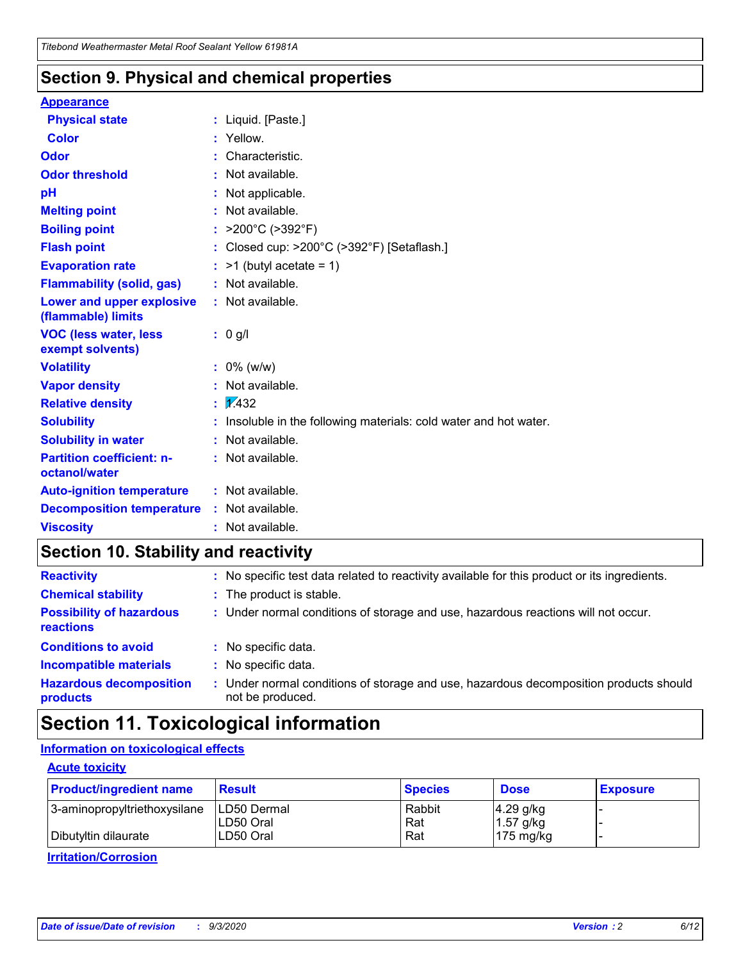### **Section 9. Physical and chemical properties**

#### **Appearance**

| <b>Physical state</b>                             | : Liquid. [Paste.]                                              |
|---------------------------------------------------|-----------------------------------------------------------------|
| <b>Color</b>                                      | Yellow.                                                         |
| Odor                                              | Characteristic.                                                 |
| <b>Odor threshold</b>                             | Not available.                                                  |
| pH                                                | Not applicable.                                                 |
| <b>Melting point</b>                              | : Not available.                                                |
| <b>Boiling point</b>                              | >200°C (>392°F)                                                 |
| <b>Flash point</b>                                | Closed cup: >200°C (>392°F) [Setaflash.]                        |
| <b>Evaporation rate</b>                           | $:$ >1 (butyl acetate = 1)                                      |
| <b>Flammability (solid, gas)</b>                  | : Not available.                                                |
| Lower and upper explosive<br>(flammable) limits   | : Not available.                                                |
| <b>VOC (less water, less</b><br>exempt solvents)  | : 0 g/l                                                         |
| <b>Volatility</b>                                 | $: 0\%$ (w/w)                                                   |
| <b>Vapor density</b>                              | Not available.                                                  |
| <b>Relative density</b>                           | $\frac{1}{2}$ 2.432                                             |
| <b>Solubility</b>                                 | Insoluble in the following materials: cold water and hot water. |
| <b>Solubility in water</b>                        | Not available.                                                  |
| <b>Partition coefficient: n-</b><br>octanol/water | : Not available.                                                |
| <b>Auto-ignition temperature</b>                  | : Not available.                                                |
| <b>Decomposition temperature</b>                  | $:$ Not available.                                              |
| <b>Viscosity</b>                                  | $:$ Not available.                                              |

### **Section 10. Stability and reactivity**

| <b>Reactivity</b>                            |    | : No specific test data related to reactivity available for this product or its ingredients.            |
|----------------------------------------------|----|---------------------------------------------------------------------------------------------------------|
| <b>Chemical stability</b>                    |    | : The product is stable.                                                                                |
| <b>Possibility of hazardous</b><br>reactions |    | : Under normal conditions of storage and use, hazardous reactions will not occur.                       |
| <b>Conditions to avoid</b>                   |    | : No specific data.                                                                                     |
| <b>Incompatible materials</b>                |    | : No specific data.                                                                                     |
| <b>Hazardous decomposition</b><br>products   | ÷. | Under normal conditions of storage and use, hazardous decomposition products should<br>not be produced. |

### **Section 11. Toxicological information**

#### **Information on toxicological effects**

#### **Acute toxicity**

| <b>Product/ingredient name</b> | <b>Result</b>           | <b>Species</b> | <b>Dose</b>                | <b>Exposure</b> |
|--------------------------------|-------------------------|----------------|----------------------------|-----------------|
| 3-aminopropyltriethoxysilane   | <b>ILD50 Dermal</b>     | Rabbit         | 4.29 g/kg                  |                 |
| Dibutyltin dilaurate           | ILD50 Oral<br>LD50 Oral | Rat<br>Rat     | $1.57$ g/kg<br>175 $mg/kg$ |                 |
|                                |                         |                |                            |                 |

**Irritation/Corrosion**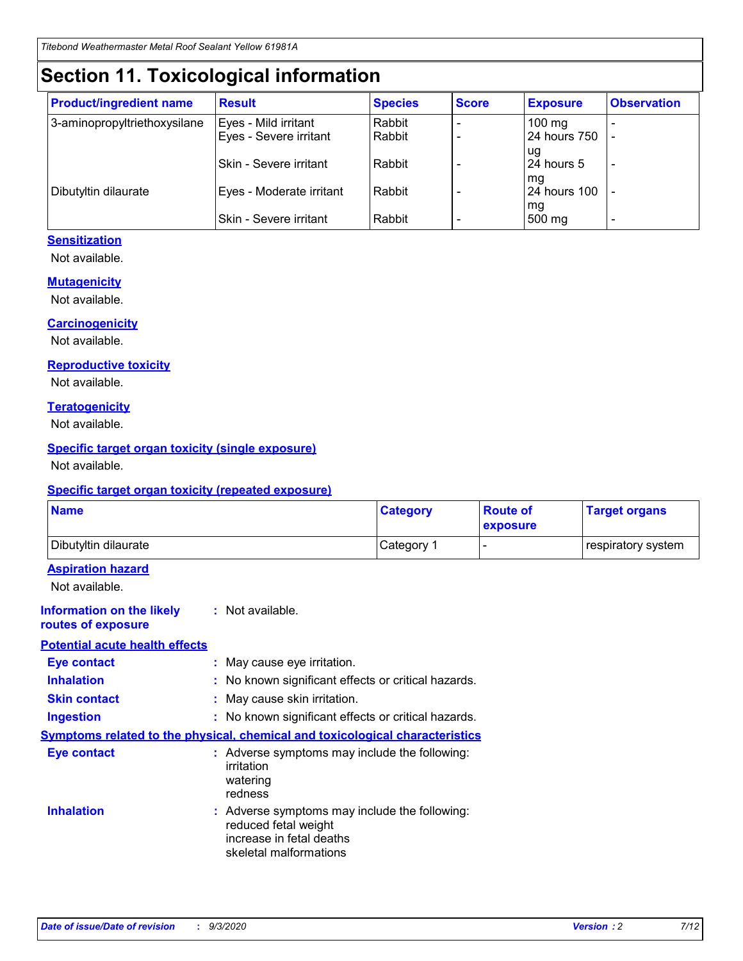# **Section 11. Toxicological information**

| <b>Product/ingredient name</b> | <b>Result</b>                 | <b>Species</b> | <b>Score</b> | <b>Exposure</b>    | <b>Observation</b>       |
|--------------------------------|-------------------------------|----------------|--------------|--------------------|--------------------------|
| 3-aminopropyltriethoxysilane   | Eyes - Mild irritant          | Rabbit         |              | $100 \text{ mg}$   |                          |
|                                | Eyes - Severe irritant        | Rabbit         |              | 24 hours 750       |                          |
|                                |                               |                |              | ug                 |                          |
|                                | <b>Skin - Severe irritant</b> | Rabbit         |              | 24 hours 5         | $\overline{\phantom{a}}$ |
| Dibutyltin dilaurate           | Eyes - Moderate irritant      | Rabbit         |              | mg<br>24 hours 100 |                          |
|                                |                               |                |              | mg                 |                          |
|                                | Skin - Severe irritant        | Rabbit         |              | 500 mg             | -                        |

#### **Sensitization**

Not available.

#### **Mutagenicity**

Not available.

#### **Carcinogenicity**

Not available.

#### **Reproductive toxicity**

Not available.

#### **Teratogenicity**

Not available.

#### **Specific target organ toxicity (single exposure)**

Not available.

#### **Specific target organ toxicity (repeated exposure)**

| <b>Name</b>                                                                  |                                                                                                                             | <b>Category</b>                                     | <b>Route of</b><br>exposure | <b>Target organs</b> |  |  |
|------------------------------------------------------------------------------|-----------------------------------------------------------------------------------------------------------------------------|-----------------------------------------------------|-----------------------------|----------------------|--|--|
| Dibutyltin dilaurate                                                         |                                                                                                                             | Category 1                                          |                             | respiratory system   |  |  |
| <b>Aspiration hazard</b><br>Not available.                                   |                                                                                                                             |                                                     |                             |                      |  |  |
| <b>Information on the likely</b><br>routes of exposure                       | : Not available.                                                                                                            |                                                     |                             |                      |  |  |
| <b>Potential acute health effects</b>                                        |                                                                                                                             |                                                     |                             |                      |  |  |
| <b>Eye contact</b>                                                           | : May cause eye irritation.                                                                                                 |                                                     |                             |                      |  |  |
| <b>Inhalation</b>                                                            |                                                                                                                             | : No known significant effects or critical hazards. |                             |                      |  |  |
| <b>Skin contact</b>                                                          |                                                                                                                             | : May cause skin irritation.                        |                             |                      |  |  |
| <b>Ingestion</b>                                                             |                                                                                                                             | : No known significant effects or critical hazards. |                             |                      |  |  |
| Symptoms related to the physical, chemical and toxicological characteristics |                                                                                                                             |                                                     |                             |                      |  |  |
| <b>Eye contact</b>                                                           | : Adverse symptoms may include the following:<br>irritation<br>watering<br>redness                                          |                                                     |                             |                      |  |  |
| <b>Inhalation</b>                                                            | : Adverse symptoms may include the following:<br>reduced fetal weight<br>increase in fetal deaths<br>skeletal malformations |                                                     |                             |                      |  |  |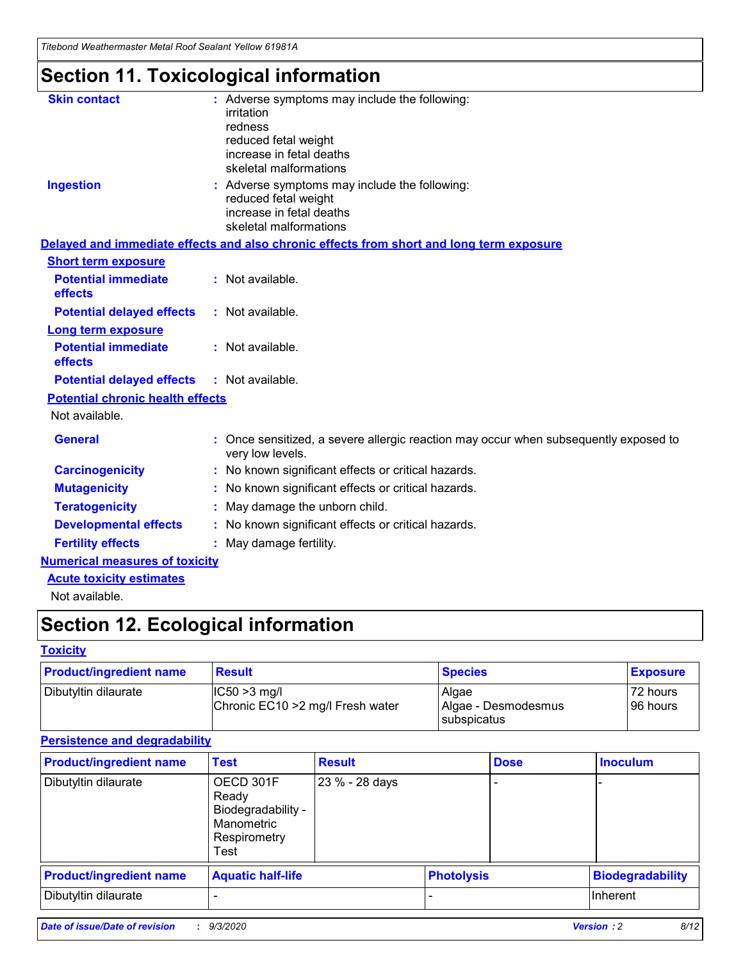*Titebond Weathermaster Metal Roof Sealant Yellow 61981A*

# **Section 11. Toxicological information**

| <b>Skin contact</b>                     | : Adverse symptoms may include the following:<br>irritation                                            |
|-----------------------------------------|--------------------------------------------------------------------------------------------------------|
|                                         | redness                                                                                                |
|                                         | reduced fetal weight                                                                                   |
|                                         | increase in fetal deaths                                                                               |
|                                         | skeletal malformations                                                                                 |
| <b>Ingestion</b>                        | : Adverse symptoms may include the following:<br>reduced fetal weight                                  |
|                                         | increase in fetal deaths                                                                               |
|                                         | skeletal malformations                                                                                 |
|                                         | Delayed and immediate effects and also chronic effects from short and long term exposure               |
| <b>Short term exposure</b>              |                                                                                                        |
| <b>Potential immediate</b><br>effects   | : Not available.                                                                                       |
| <b>Potential delayed effects</b>        | : Not available.                                                                                       |
| <b>Long term exposure</b>               |                                                                                                        |
| <b>Potential immediate</b><br>effects   | : Not available.                                                                                       |
| <b>Potential delayed effects</b>        | : Not available.                                                                                       |
| <b>Potential chronic health effects</b> |                                                                                                        |
| Not available.                          |                                                                                                        |
| <b>General</b>                          | Once sensitized, a severe allergic reaction may occur when subsequently exposed to<br>very low levels. |
| <b>Carcinogenicity</b>                  | No known significant effects or critical hazards.                                                      |
| <b>Mutagenicity</b>                     | : No known significant effects or critical hazards.                                                    |
| <b>Teratogenicity</b>                   | May damage the unborn child.                                                                           |
| <b>Developmental effects</b>            | : No known significant effects or critical hazards.                                                    |
| <b>Fertility effects</b>                | : May damage fertility.                                                                                |
| <b>Numerical measures of toxicity</b>   |                                                                                                        |
| <b>Acute toxicity estimates</b>         |                                                                                                        |
| Not ovoilable                           |                                                                                                        |

Not available.

# **Section 12. Ecological information**

#### **Toxicity**

| <b>Product/ingredient name</b> | <b>Result</b>                                       | <b>Species</b>               | <b>Exposure</b>       |
|--------------------------------|-----------------------------------------------------|------------------------------|-----------------------|
| Dibutyltin dilaurate           | $ CC50>3$ mg/l<br>Chronic EC10 > 2 mg/l Fresh water | Algae<br>Algae - Desmodesmus | 72 hours<br>196 hours |
|                                |                                                     | <b>I</b> subspicatus         |                       |

#### **Persistence and degradability**

| <b>Product/ingredient name</b> | <b>Test</b>                                                                    | <b>Result</b>  |                   | <b>Dose</b> | <b>Inoculum</b>         |
|--------------------------------|--------------------------------------------------------------------------------|----------------|-------------------|-------------|-------------------------|
| Dibutyltin dilaurate           | OECD 301F<br>Ready<br>Biodegradability -<br>Manometric<br>Respirometry<br>Test | 23 % - 28 days |                   |             |                         |
| <b>Product/ingredient name</b> | <b>Aquatic half-life</b>                                                       |                | <b>Photolysis</b> |             | <b>Biodegradability</b> |
| Dibutyltin dilaurate           |                                                                                |                |                   |             | <b>Inherent</b>         |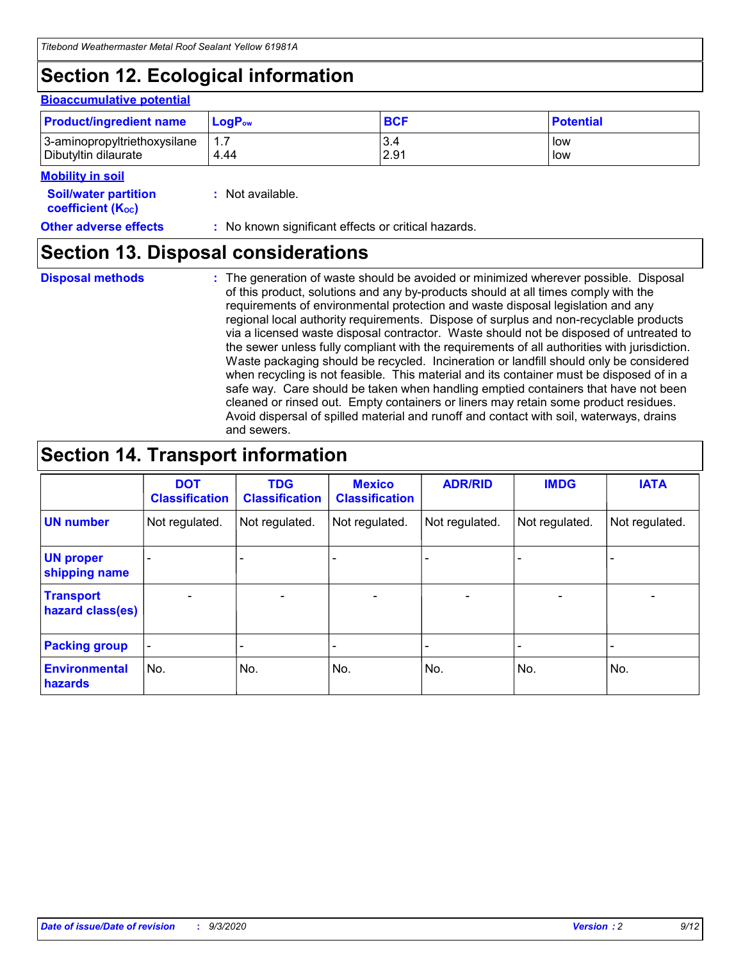# **Section 12. Ecological information**

#### **Bioaccumulative potential**

| <b>Product/ingredient name</b> | $LoaPow$ | <b>BCF</b> | <b>Potential</b> |
|--------------------------------|----------|------------|------------------|
| 3-aminopropyltriethoxysilane   | 1.7      | 3.4        | low              |
| Dibutyltin dilaurate           | 4.44     | 2.91       | low              |

#### **Mobility in soil**

| <b>INIUDIIILY III SUII</b>                                    |                                                     |
|---------------------------------------------------------------|-----------------------------------------------------|
| <b>Soil/water partition</b><br>coefficient (K <sub>oc</sub> ) | : Not available.                                    |
| <b>Other adverse effects</b>                                  | : No known significant effects or critical hazards. |

### **Section 13. Disposal considerations**

**Disposal methods :**

The generation of waste should be avoided or minimized wherever possible. Disposal of this product, solutions and any by-products should at all times comply with the requirements of environmental protection and waste disposal legislation and any regional local authority requirements. Dispose of surplus and non-recyclable products via a licensed waste disposal contractor. Waste should not be disposed of untreated to the sewer unless fully compliant with the requirements of all authorities with jurisdiction. Waste packaging should be recycled. Incineration or landfill should only be considered when recycling is not feasible. This material and its container must be disposed of in a safe way. Care should be taken when handling emptied containers that have not been cleaned or rinsed out. Empty containers or liners may retain some product residues. Avoid dispersal of spilled material and runoff and contact with soil, waterways, drains and sewers.

### **Section 14. Transport information**

|                                      | <b>DOT</b><br><b>Classification</b> | <b>TDG</b><br><b>Classification</b> | <b>Mexico</b><br><b>Classification</b> | <b>ADR/RID</b>           | <b>IMDG</b>              | <b>IATA</b>    |
|--------------------------------------|-------------------------------------|-------------------------------------|----------------------------------------|--------------------------|--------------------------|----------------|
| <b>UN number</b>                     | Not regulated.                      | Not regulated.                      | Not regulated.                         | Not regulated.           | Not regulated.           | Not regulated. |
| <b>UN proper</b><br>shipping name    |                                     |                                     |                                        |                          |                          |                |
| <b>Transport</b><br>hazard class(es) |                                     | $\overline{\phantom{0}}$            | $\qquad \qquad \blacksquare$           | $\overline{\phantom{0}}$ | $\overline{\phantom{0}}$ |                |
| <b>Packing group</b>                 |                                     |                                     |                                        |                          |                          |                |
| <b>Environmental</b><br>hazards      | No.                                 | No.                                 | No.                                    | No.                      | No.                      | No.            |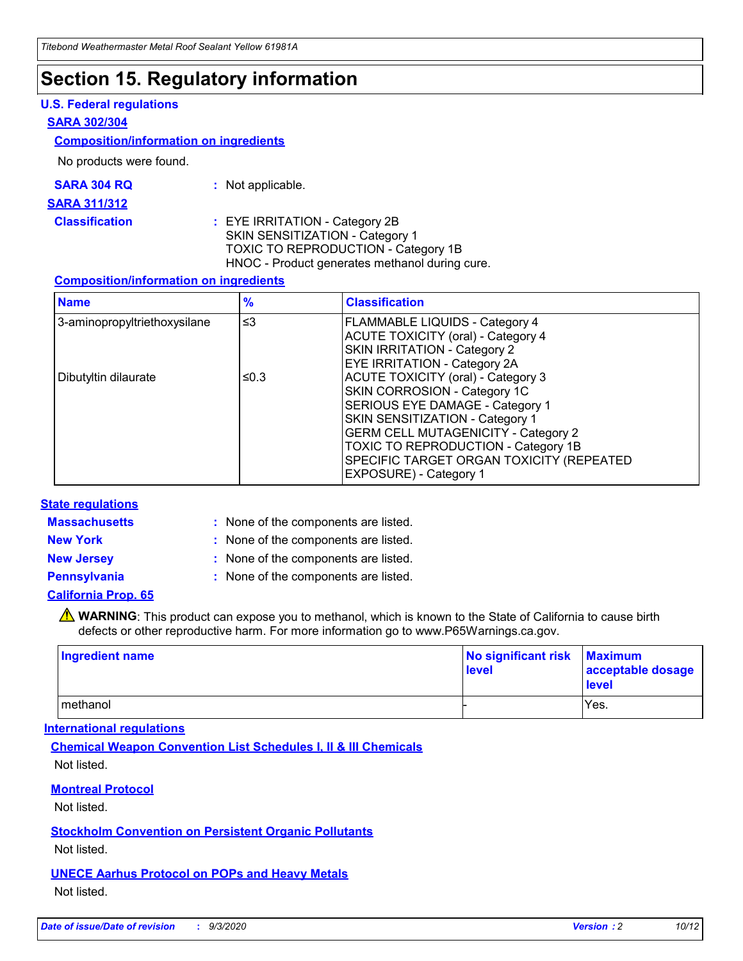### **Section 15. Regulatory information**

#### **U.S. Federal regulations**

#### **SARA 302/304**

#### **Composition/information on ingredients**

No products were found.

| SARA 304 RQ | Not applicable. |
|-------------|-----------------|
|-------------|-----------------|

#### **SARA 311/312**

**Classification :** EYE IRRITATION - Category 2B SKIN SENSITIZATION - Category 1 TOXIC TO REPRODUCTION - Category 1B HNOC - Product generates methanol during cure.

#### **Composition/information on ingredients**

| <b>Name</b>                  | $\frac{9}{6}$ | <b>Classification</b>                                                                                                                                                                                                                                                                                      |
|------------------------------|---------------|------------------------------------------------------------------------------------------------------------------------------------------------------------------------------------------------------------------------------------------------------------------------------------------------------------|
| 3-aminopropyltriethoxysilane | $\leq$ 3      | <b>FLAMMABLE LIQUIDS - Category 4</b><br><b>ACUTE TOXICITY (oral) - Category 4</b><br><b>SKIN IRRITATION - Category 2</b><br>EYE IRRITATION - Category 2A                                                                                                                                                  |
| Dibutyltin dilaurate         | ≤0.3          | <b>ACUTE TOXICITY (oral) - Category 3</b><br>SKIN CORROSION - Category 1C<br>SERIOUS EYE DAMAGE - Category 1<br>SKIN SENSITIZATION - Category 1<br><b>GERM CELL MUTAGENICITY - Category 2</b><br>TOXIC TO REPRODUCTION - Category 1B<br>SPECIFIC TARGET ORGAN TOXICITY (REPEATED<br>EXPOSURE) - Category 1 |

#### **State regulations**

**Massachusetts :**

: None of the components are listed.

**New York :** None of the components are listed. **New Jersey :** None of the components are listed.

**Pennsylvania :** None of the components are listed.

#### **California Prop. 65**

WARNING: This product can expose you to methanol, which is known to the State of California to cause birth defects or other reproductive harm. For more information go to www.P65Warnings.ca.gov.

| Ingredient name | No significant risk<br>level | <b>Maximum</b><br>acceptable dosage<br><b>level</b> |
|-----------------|------------------------------|-----------------------------------------------------|
| l methanol      |                              | Yes.                                                |

#### **International regulations**

**Chemical Weapon Convention List Schedules I, II & III Chemicals** Not listed.

#### **Montreal Protocol**

Not listed.

**Stockholm Convention on Persistent Organic Pollutants**

Not listed.

#### **UNECE Aarhus Protocol on POPs and Heavy Metals** Not listed.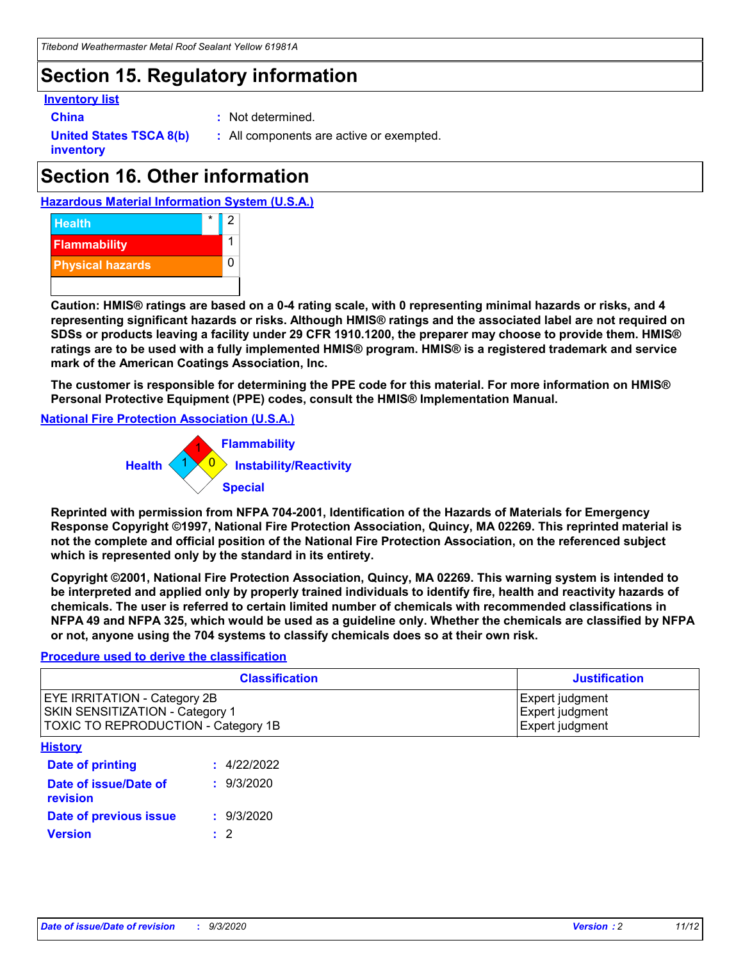### **Section 15. Regulatory information**

#### **Inventory list**

- 
- **China :** Not determined.

**United States TSCA 8(b) inventory**

**:** All components are active or exempted.

# **Section 16. Other information**





**Caution: HMIS® ratings are based on a 0-4 rating scale, with 0 representing minimal hazards or risks, and 4 representing significant hazards or risks. Although HMIS® ratings and the associated label are not required on SDSs or products leaving a facility under 29 CFR 1910.1200, the preparer may choose to provide them. HMIS® ratings are to be used with a fully implemented HMIS® program. HMIS® is a registered trademark and service mark of the American Coatings Association, Inc.**

**The customer is responsible for determining the PPE code for this material. For more information on HMIS® Personal Protective Equipment (PPE) codes, consult the HMIS® Implementation Manual.**

**National Fire Protection Association (U.S.A.)**



**Reprinted with permission from NFPA 704-2001, Identification of the Hazards of Materials for Emergency Response Copyright ©1997, National Fire Protection Association, Quincy, MA 02269. This reprinted material is not the complete and official position of the National Fire Protection Association, on the referenced subject which is represented only by the standard in its entirety.**

**Copyright ©2001, National Fire Protection Association, Quincy, MA 02269. This warning system is intended to be interpreted and applied only by properly trained individuals to identify fire, health and reactivity hazards of chemicals. The user is referred to certain limited number of chemicals with recommended classifications in NFPA 49 and NFPA 325, which would be used as a guideline only. Whether the chemicals are classified by NFPA or not, anyone using the 704 systems to classify chemicals does so at their own risk.**

#### **Procedure used to derive the classification**

| <b>Classification</b>                                                                                                | <b>Justification</b>                                  |
|----------------------------------------------------------------------------------------------------------------------|-------------------------------------------------------|
| <b>EYE IRRITATION - Category 2B</b><br><b>SKIN SENSITIZATION - Category 1</b><br>TOXIC TO REPRODUCTION - Category 1B | Expert judgment<br>Expert judgment<br>Expert judgment |
| <b>History</b>                                                                                                       |                                                       |

| .                                        |             |
|------------------------------------------|-------------|
| <b>Date of printing</b>                  | : 4/22/2022 |
| Date of issue/Date of<br><b>revision</b> | : 9/3/2020  |
| Date of previous issue                   | : 9/3/2020  |
| <b>Version</b>                           | $\cdot$ 2   |
|                                          |             |